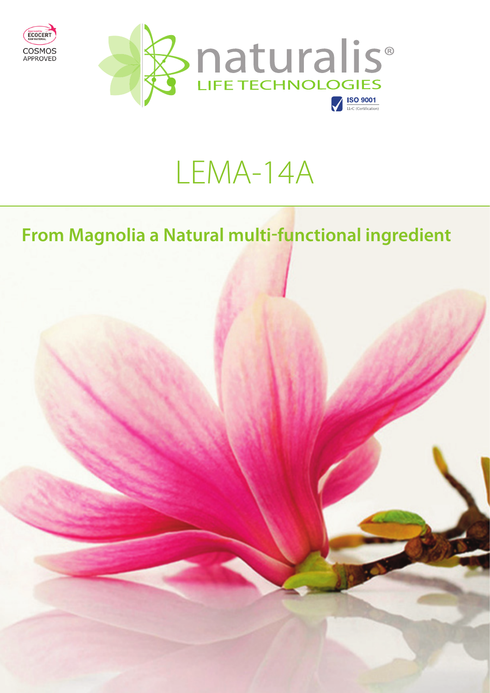

Approved by

# LEMA-14A

# **From Magnolia a Natural multi-functional ingredient**